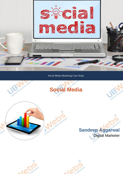

Social Media Marketing Case Study













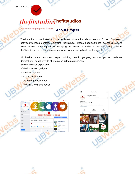SOCIAL MEDIA CASE S

# **Thefitstudios**

Connecting people to fitness illons

#### **About Project**

Thefitstudios is dedicated to provide latest information about various forms of workout, activities, wellness centres, emerging techniques, fitness gadezts, fitness events & experts views to keep updating and encouraging our readers to thrive for healthier body & mind. thefitstudios aims to keep people motivated for maintaing healthier lifestyle !!

All health related updates, expert advice, health gadgets, workout places, wellness destinations, health events at one place @thefitstudios.com

- Showcase your expertise in
- **∕Health related gadgets**
- ✔Wellness centre

Thefitstudios

- $\overline{\mathsf{V}}$  Fitness destination
- **✔Upcoming fitness event**
- $\vee$  Health & wellness advise

**Connecting people to fitness** 

ing = # Share # Edit Page Info ... **O** one

 $\Omega$ the fitstudios RO



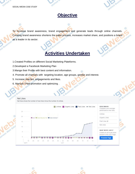

ര





#### **Objective**

To increase brand awareness, brand engagement and generate leads through online channels. Creating brand awareness shortens the sales process, increases market share, and positions a brand<br>as a leader in its sector. as a leader in its sector.

## **Activities Undertaken**

Solui

- 1.Created Profiles on different Social Marketing Plateforms.
- 2.Developed a Facebook Marketing Plan
- 3.Mange their Profile with best content and information.
- 4. Promote all channels with targeting location, age groups, gender and interest.
- 5. Increase reaches, engagements and likes.
- 6. Manual / Paid promotion and optimizing.



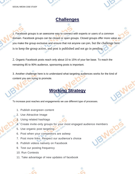





#### **Challenges**

1. Facebook groups is an awesome way to connect with experts or users of a common domain. Facebook groups can be closed or open groups. Closed groups offer more value as you make the group exclusive and ensure that not anyone can join, but the challenge here is to keep the group active, and post is published and not go in pending.

2. Organic Facebook posts reach only about 10 to 15% of your fan base. To reach the remaining 85 to 90% audience, sponsoring posts is important.

3. Another challenge here is to understand what targeting audiences works for the kind of content you are trying to promote.

## **Working Strategy**

To increase post reaches and engagements we use different type of processes.

- 1. Publish evergreen content
- 2. Use Attractive Image
- 3. Using related hashtags
- 4. Create invite-only groups for your most engaged audience members
- 5. Use organic post targeting
- 6. Post when your competitors are asleep
- 7. Post more links. Respect our audience's choice
- 8. Publish videos natively on Facebook
- 9. Test our posting frequency
- 10. Run Contests
- 11. Take advantage of new updates of facebook



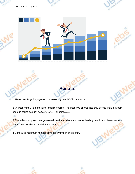

 $\circledcirc$ 



1. Facebook Page Engagement Increased by over 50X in one month.

2. A Post went viral generating organic shares. The post was shared not only across India but from users in countries such as USA, UAE, Philippines etc.

Ō

**Results**

3. The video campaign has generated maximum views and some leading health and fitness experts blogs have decided to publish their blogs. Web Solution

4.Generated maximum number of website views in one month.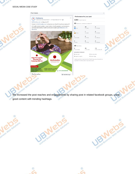

red Busi

#### SOCIAL MEDIA CASE STUDY

Solution



 $\ddot{\phantom{0}}$ 







| 4,684 People Reached |                                     |                                                                                           |  |
|----------------------|-------------------------------------|-------------------------------------------------------------------------------------------|--|
|                      | 65 Reactions, comments & shares $i$ |                                                                                           |  |
| 63<br><b>O</b> Like  | 63<br>On post                       | 0<br>On shares                                                                            |  |
| Haha                 | $\vert$ 1 On post                   | $\frac{0}{20}$                                                                            |  |
| Comments             | 0<br>On Post                        | $\vert$ 1 On Shares                                                                       |  |
| $\Omega$<br>Shares   | $\frac{0}{\text{On Post}}$          | $\begin{array}{ c } \hline \mathbf{0} \\ \hline \mathbf{0} \mathsf{n} \end{array}$ Shares |  |
| 46 Post Clicks       |                                     |                                                                                           |  |
| 9<br>Photo views     | 23<br>Link clicks                   | 14<br>Other Clicks F                                                                      |  |



Insights activity is reported in the Pacific time zone. Ad activity is reported in the time zone of your ad account.

 $0$  Unlike Page

 $0$  Report as spam

Mato Solution

Thefitstudios

Solution

O

We increased the post reaches and engagements by sharing post in related facebook groups, using<br>good content with trending hashtags. S good content with trending hashtags.

Send Message









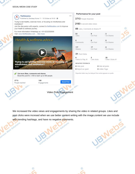

#### SOCIAL MEDIA CASE STUDY





We increased the video views and engagements by sharing the video in related groups. Likes and post clicks were incresed when we use better content writing with the image,content we use include **District of Manufacture Concerners** with trending hashtags, and have no negative comments.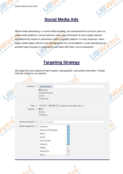SOCIAL MEDIA CASE STUDY



### **Social Media Ads**

Social media advertising, or social media targeting, are advertisements served to users on social media platforms. Social networks utilize user information to serve highly relevant advertisements based on interactions within a specific platform. In many instances, when target market aligns with the user demographics of a social platform, social advertising can provide huge increases in conversions and sales with lower cost of acquisition.

#### **Targeting Strategy**

Web

We target the users based on their location, demographic, and profile information. People interests related to our projects,

| Location: [?]          | <b>United States *</b>                                |  |
|------------------------|-------------------------------------------------------|--|
|                        | Country                                               |  |
|                        | ○ State/Province                                      |  |
|                        | $\bigcirc$ City                                       |  |
|                        | ○ Zip Code                                            |  |
| Age: [?]               | 13 $\div$ - No max $\div$ Require exact age match [2] |  |
| Gender: [2]            | $\Theta$ All                                          |  |
|                        | $O$ Men                                               |  |
|                        | O Women                                               |  |
| Precise Interests: [?] | Enter an interest                                     |  |
| Broad Categories: [?]  | Activities                                            |  |
|                        | Business/Technology                                   |  |
|                        | Ethnic                                                |  |
|                        | Events                                                |  |
|                        | <b>Family Status</b>                                  |  |
|                        | Interests                                             |  |
|                        | Mobile                                                |  |
|                        |                                                       |  |



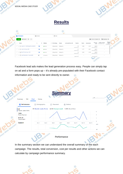

Facebook lead ads makes the lead generation process easy. People can simply tap on ad and a form pops up – it's already pre-populated with their Facebook contact information and ready to be sent directly to owner.

| Edit<br>Summary                                                                                    | $\mathcal{L}$<br><b>Chart</b><br>History                                                                                                       | $\sim$                              |
|----------------------------------------------------------------------------------------------------|------------------------------------------------------------------------------------------------------------------------------------------------|-------------------------------------|
| <b>In Performance</b>                                                                              | Demographics<br>Delivery<br><b>Placement</b><br>$\mathcal{N}$<br>R.                                                                            | aller                               |
| 29<br>Results: Leads (Form)<br>1,624<br>People Reached<br>₪101.41<br>Amount spent<br><b>Custom</b> | 29 Results: Leads (Form)<br><b>₪3.50 Cost per result</b><br>1.33% Result Rate<br>Oct 3<br>Oct 5<br>Oct 1<br>Oct 7<br>Oct 9<br>Oct 13<br>Oct 11 | 6<br>2<br>0<br>Oct 15<br>m10<br>ru0 |
|                                                                                                    | <b>The Review Company of the Company's</b>                                                                                                     | 59                                  |

mar



**Performance** 

In the summary section we can understand the overall summary of the each campaign. The results, total conversion, cost per results and other actions we can calculate by campaign performance summary.

Meo